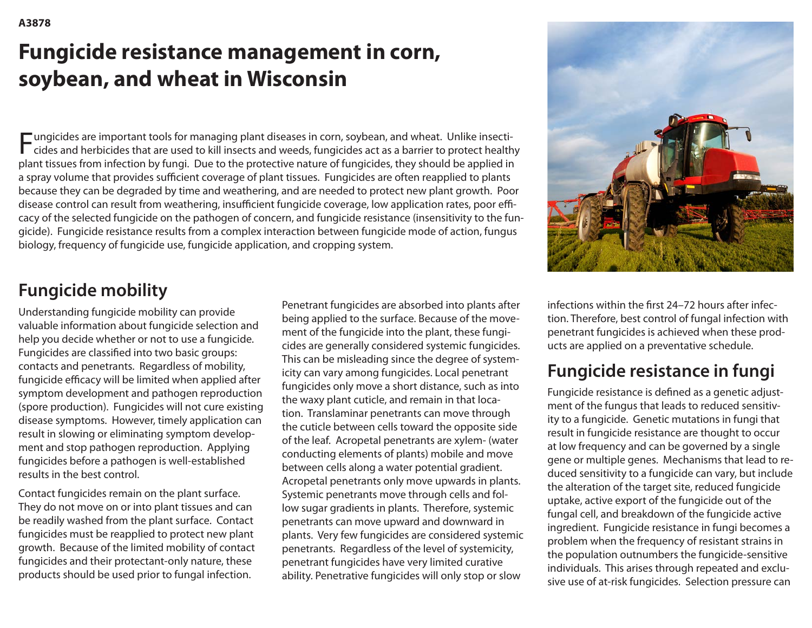# **Fungicide resistance management in corn, soybean, and wheat in Wisconsin**

Fungicides are important tools for managing plant diseases in corn, soybean, and wheat. Unlike insecti- $\Gamma$  cides and herbicides that are used to kill insects and weeds, fungicides act as a barrier to protect healthy plant tissues from infection by fungi. Due to the protective nature of fungicides, they should be applied in a spray volume that provides sufficient coverage of plant tissues. Fungicides are often reapplied to plants because they can be degraded by time and weathering, and are needed to protect new plant growth. Poor disease control can result from weathering, insufficient fungicide coverage, low application rates, poor efficacy of the selected fungicide on the pathogen of concern, and fungicide resistance (insensitivity to the fungicide). Fungicide resistance results from a complex interaction between fungicide mode of action, fungus biology, frequency of fungicide use, fungicide application, and cropping system.



### **Fungicide mobility**

Understanding fungicide mobility can provide valuable information about fungicide selection and help you decide whether or not to use a fungicide. Fungicides are classifed into two basic groups: contacts and penetrants. Regardless of mobility, fungicide efficacy will be limited when applied after symptom development and pathogen reproduction (spore production). Fungicides will not cure existing disease symptoms. However, timely application can result in slowing or eliminating symptom development and stop pathogen reproduction. Applying fungicides before a pathogen is well-established results in the best control.

Contact fungicides remain on the plant surface. They do not move on or into plant tissues and can be readily washed from the plant surface. Contact fungicides must be reapplied to protect new plant growth. Because of the limited mobility of contact fungicides and their protectant-only nature, these products should be used prior to fungal infection.

Penetrant fungicides are absorbed into plants after being applied to the surface. Because of the movement of the fungicide into the plant, these fungicides are generally considered systemic fungicides. This can be misleading since the degree of systemicity can vary among fungicides. Local penetrant fungicides only move a short distance, such as into the waxy plant cuticle, and remain in that location. Translaminar penetrants can move through the cuticle between cells toward the opposite side of the leaf. Acropetal penetrants are xylem- (water conducting elements of plants) mobile and move between cells along a water potential gradient. Acropetal penetrants only move upwards in plants. Systemic penetrants move through cells and follow sugar gradients in plants. Therefore, systemic penetrants can move upward and downward in plants. Very few fungicides are considered systemic penetrants. Regardless of the level of systemicity, penetrant fungicides have very limited curative ability. Penetrative fungicides will only stop or slow

infections within the frst 24–72 hours after infection. Therefore, best control of fungal infection with penetrant fungicides is achieved when these products are applied on a preventative schedule.

### **Fungicide resistance in fungi**

Fungicide resistance is defned as a genetic adjustment of the fungus that leads to reduced sensitivity to a fungicide. Genetic mutations in fungi that result in fungicide resistance are thought to occur at low frequency and can be governed by a single gene or multiple genes. Mechanisms that lead to reduced sensitivity to a fungicide can vary, but include the alteration of the target site, reduced fungicide uptake, active export of the fungicide out of the fungal cell, and breakdown of the fungicide active ingredient. Fungicide resistance in fungi becomes a problem when the frequency of resistant strains in the population outnumbers the fungicide-sensitive individuals. This arises through repeated and exclusive use of at-risk fungicides. Selection pressure can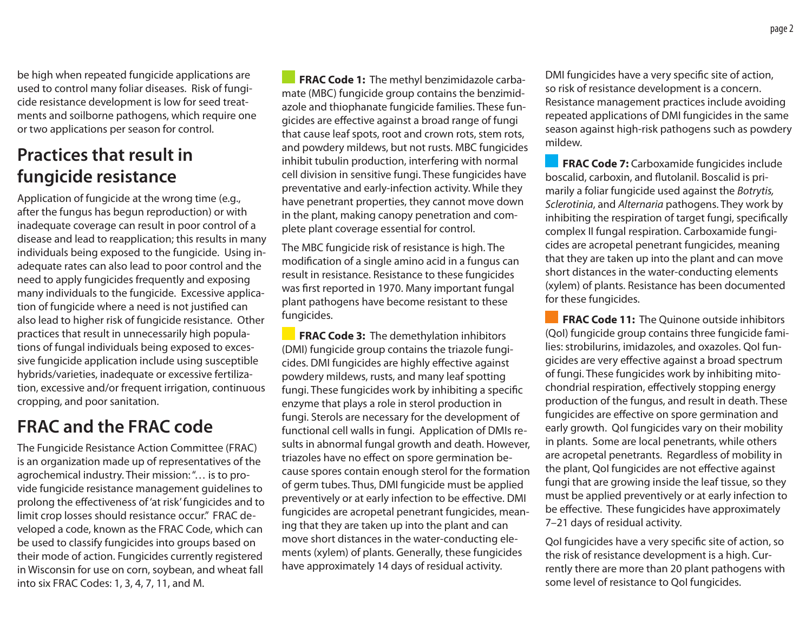be high when repeated fungicide applications are used to control many foliar diseases. Risk of fungicide resistance development is low for seed treatments and soilborne pathogens, which require one or two applications per season for control.

#### **Practices that result in fungicide resistance**

Application of fungicide at the wrong time (e.g., after the fungus has begun reproduction) or with inadequate coverage can result in poor control of a disease and lead to reapplication; this results in many individuals being exposed to the fungicide. Using inadequate rates can also lead to poor control and the need to apply fungicides frequently and exposing many individuals to the fungicide. Excessive application of fungicide where a need is not justifed can also lead to higher risk of fungicide resistance. Other practices that result in unnecessarily high populations of fungal individuals being exposed to excessive fungicide application include using susceptible hybrids/varieties, inadequate or excessive fertilization, excessive and/or frequent irrigation, continuous cropping, and poor sanitation.

### **FRAC and the FRAC code**

The Fungicide Resistance Action Committee (FRAC) is an organization made up of representatives of the agrochemical industry. Their mission: "… is to provide fungicide resistance management guidelines to prolong the efectiveness of 'at risk' fungicides and to limit crop losses should resistance occur." FRAC developed a code, known as the FRAC Code, which can be used to classify fungicides into groups based on their mode of action. Fungicides currently registered in Wisconsin for use on corn, soybean, and wheat fall into six FRAC Codes: 1, 3, 4, 7, 11, and M.

**FRAC Code 1:** The methyl benzimidazole carbamate (MBC) fungicide group contains the benzimidazole and thiophanate fungicide families. These fungicides are efective against a broad range of fungi that cause leaf spots, root and crown rots, stem rots, and powdery mildews, but not rusts. MBC fungicides inhibit tubulin production, interfering with normal cell division in sensitive fungi. These fungicides have preventative and early-infection activity. While they have penetrant properties, they cannot move down in the plant, making canopy penetration and complete plant coverage essential for control.

The MBC fungicide risk of resistance is high. The modifcation of a single amino acid in a fungus can result in resistance. Resistance to these fungicides was frst reported in 1970. Many important fungal plant pathogens have become resistant to these fungicides.

**FRAC Code 3:** The demethylation inhibitors (DMI) fungicide group contains the triazole fungicides. DMI fungicides are highly efective against powdery mildews, rusts, and many leaf spotting fungi. These fungicides work by inhibiting a specifc enzyme that plays a role in sterol production in fungi. Sterols are necessary for the development of functional cell walls in fungi. Application of DMIs results in abnormal fungal growth and death. However, triazoles have no effect on spore germination because spores contain enough sterol for the formation of germ tubes. Thus, DMI fungicide must be applied preventively or at early infection to be efective. DMI fungicides are acropetal penetrant fungicides, meaning that they are taken up into the plant and can move short distances in the water-conducting elements (xylem) of plants. Generally, these fungicides have approximately 14 days of residual activity.

DMI fungicides have a very specifc site of action, so risk of resistance development is a concern. Resistance management practices include avoiding repeated applications of DMI fungicides in the same season against high-risk pathogens such as powdery mildew.

**FRAC Code 7:** Carboxamide fungicides include boscalid, carboxin, and futolanil. Boscalid is primarily a foliar fungicide used against the *Botrytis, Sclerotinia*, and *Alternaria* pathogens. They work by inhibiting the respiration of target fungi, specifcally complex II fungal respiration. Carboxamide fungicides are acropetal penetrant fungicides, meaning that they are taken up into the plant and can move short distances in the water-conducting elements (xylem) of plants. Resistance has been documented for these fungicides.

**FRAC Code 11:** The Quinone outside inhibitors (QoI) fungicide group contains three fungicide families: strobilurins, imidazoles, and oxazoles. QoI fungicides are very efective against a broad spectrum of fungi. These fungicides work by inhibiting mitochondrial respiration, efectively stopping energy production of the fungus, and result in death. These fungicides are efective on spore germination and early growth. QoI fungicides vary on their mobility in plants. Some are local penetrants, while others are acropetal penetrants. Regardless of mobility in the plant, QoI fungicides are not efective against fungi that are growing inside the leaf tissue, so they must be applied preventively or at early infection to be effective. These fungicides have approximately 7–21 days of residual activity.

QoI fungicides have a very specifc site of action, so the risk of resistance development is a high. Currently there are more than 20 plant pathogens with some level of resistance to QoI fungicides.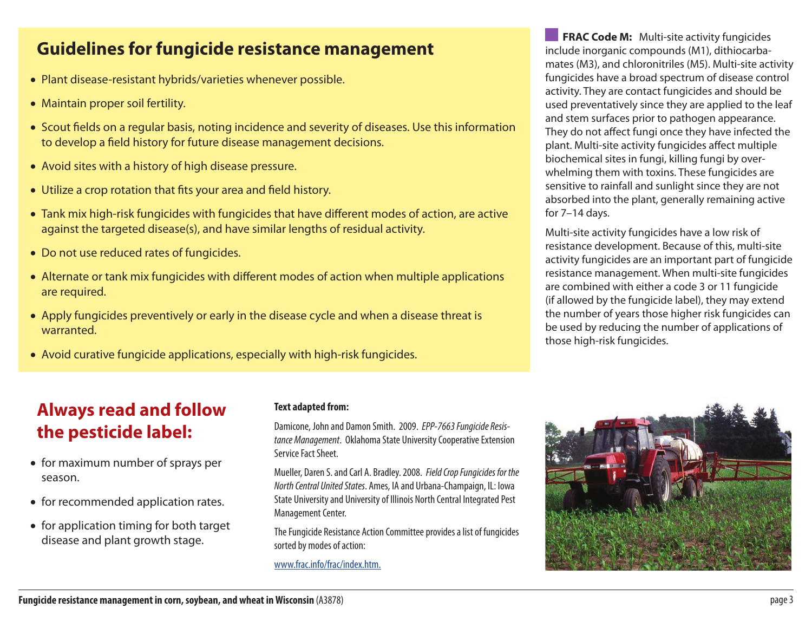#### **Guidelines for fungicide resistance management**

- Plant disease-resistant hybrids/varieties whenever possible.
- Maintain proper soil fertility.
- Scout felds on a regular basis, noting incidence and severity of diseases. Use this information to develop a feld history for future disease management decisions.
- Avoid sites with a history of high disease pressure.
- Utilize a crop rotation that fts your area and feld history.
- Tank mix high-risk fungicides with fungicides that have diferent modes of action, are active against the targeted disease(s), and have similar lengths of residual activity.
- Do not use reduced rates of fungicides.
- Alternate or tank mix fungicides with diferent modes of action when multiple applications are required.
- Apply fungicides preventively or early in the disease cycle and when a disease threat is warranted.
- Avoid curative fungicide applications, especially with high-risk fungicides.

**FRAC Code M:** Multi-site activity fungicides include inorganic compounds (M1), dithiocarbamates (M3), and chloronitriles (M5). Multi-site activity fungicides have a broad spectrum of disease control activity. They are contact fungicides and should be used preventatively since they are applied to the leaf and stem surfaces prior to pathogen appearance. They do not affect fungi once they have infected the plant. Multi-site activity fungicides afect multiple biochemical sites in fungi, killing fungi by overwhelming them with toxins. These fungicides are sensitive to rainfall and sunlight since they are not absorbed into the plant, generally remaining active for 7–14 days.

Multi-site activity fungicides have a low risk of resistance development. Because of this, multi-site activity fungicides are an important part of fungicide resistance management. When multi-site fungicides are combined with either a code 3 or 11 fungicide (if allowed by the fungicide label), they may extend the number of years those higher risk fungicides can be used by reducing the number of applications of those high-risk fungicides.

#### **Always read and follow the pesticide label:**

- for maximum number of sprays per season.
- for recommended application rates.
- for application timing for both target disease and plant growth stage.

#### **Text adapted from:**

Damicone, John and Damon Smith. 2009. *EPP-7663 Fungicide Resistance Management*. Oklahoma State University Cooperative Extension Service Fact Sheet.

Mueller, Daren S. and Carl A. Bradley. 2008. *Field Crop Fungicides for the North Central United States*. Ames, IA and Urbana-Champaign, IL: Iowa State University and University of Illinois North Central Integrated Pest Management Center.

The Fungicide Resistance Action Committee provides a list of fungicides sorted by modes of action:

<www.frac.info/frac/index.htm>.

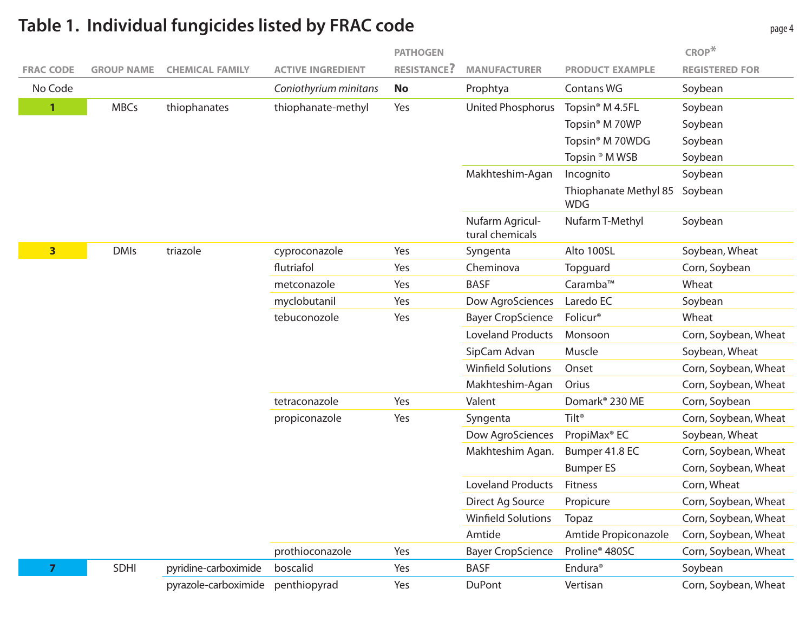#### **FRAC CODE GROUP NAME CHEMICAL FAMILY ACTIVE INGREDIENT PATHOGEN RESISTANCE? MANUFACTURER PRODUCT EXAMPLE CROP\* REGISTERED FOR** No Code *Coniothyrium minitans* **No** Prophtya Contans WG Soybean **1** MBCs thiophanates thiophanate-methyl Yes United Phosphorus Topsin<sup>®</sup> M 4.5FL Soybean Topsin<sup>®</sup> M 70WP Soybean Topsin<sup>®</sup> M 70WDG Soybean Topsin ® M WSB Soybean Makhteshim-Agan Incognito Soybean Thiophanate Methyl 85 Soybean WDG Nufarm Agricultural chemicals Nufarm T-Methyl Soybean **3** DMIs triazole cyproconazole Yes Syngenta Alto 100SL Soybean, Wheat flutriafol **The Yes** Cheminova Topguard Corn, Soybean metconazole Yes BASF Caramba™ Wheat myclobutanil Yes Dow AgroSciences Laredo EC Soybean tebuconozole Yes Bayer CropScience Folicur® Wheat Loveland Products Monsoon Corn, Soybean, Wheat SipCam Advan Muscle Soybean, Wheat Winfield Solutions Onset Corn, Soybean, Wheat Makhteshim-Agan Orius Corn, Soybean, Wheat tetraconazole Yes Valent Domark® 230 ME Corn, Soybean propiconazole Yes Syngenta Tilt® Corn, Soybean, Wheat Dow AgroSciences PropiMax<sup>®</sup> EC Soybean, Wheat Makhteshim Agan. Bumper 41.8 EC Corn, Soybean, Wheat Bumper ES Corn, Soybean, Wheat Loveland Products Fitness Corn, Wheat Direct Ag Source Propicure Corn, Soybean, Wheat Winfield Solutions Topaz Corn, Soybean, Wheat Amtide Amtide Propiconazole Corn, Soybean, Wheat prothioconazole Yes Bayer CropScience Proline® 480SC Corn, Soybean, Wheat **7** SDHI pyridine-carboximide boscalid **The Soybean** Yes BASF Endura® Soybean pyrazole-carboximide penthiopyrad Yes DuPont Vertisan Corn, Soybean, Wheat

#### **Table 1. Individual fungicides listed by FRAC code**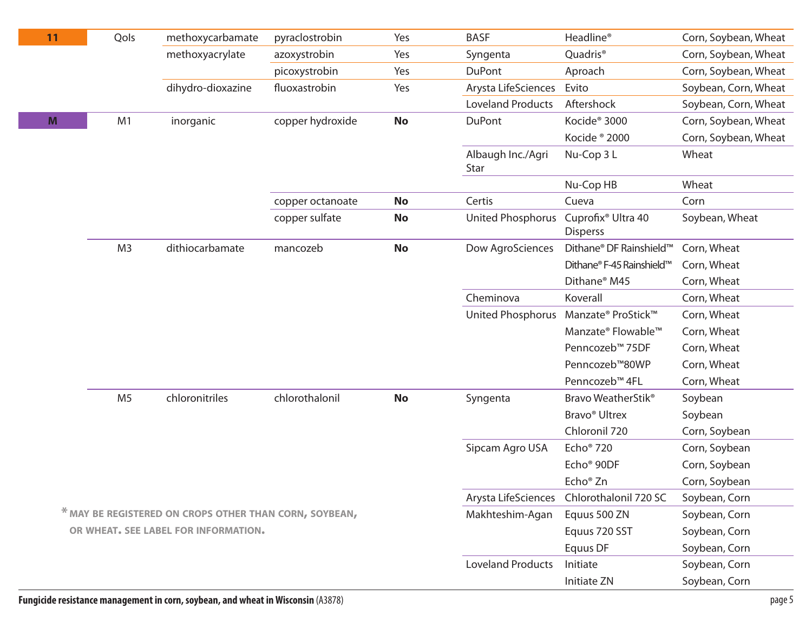| 11 | Qols                                                   | methoxycarbamate  | pyraclostrobin   | Yes       | <b>BASF</b>               | Headline <sup>®</sup>                             | Corn, Soybean, Wheat |
|----|--------------------------------------------------------|-------------------|------------------|-----------|---------------------------|---------------------------------------------------|----------------------|
|    |                                                        | methoxyacrylate   | azoxystrobin     | Yes       | Syngenta                  | Quadris <sup>®</sup>                              | Corn, Soybean, Wheat |
|    |                                                        |                   | picoxystrobin    | Yes       | <b>DuPont</b>             | Aproach                                           | Corn, Soybean, Wheat |
|    |                                                        | dihydro-dioxazine | fluoxastrobin    | Yes       | Arysta LifeSciences       | Evito                                             | Soybean, Corn, Wheat |
|    |                                                        |                   |                  |           | <b>Loveland Products</b>  | Aftershock                                        | Soybean, Corn, Wheat |
| M  | M1                                                     | inorganic         | copper hydroxide | <b>No</b> | <b>DuPont</b>             | Kocide <sup>®</sup> 3000                          | Corn, Soybean, Wheat |
|    |                                                        |                   |                  |           |                           | Kocide ® 2000                                     | Corn, Soybean, Wheat |
|    |                                                        |                   |                  |           | Albaugh Inc./Agri<br>Star | Nu-Cop 3 L                                        | Wheat                |
|    |                                                        |                   |                  |           |                           | Nu-Cop HB                                         | Wheat                |
|    |                                                        |                   | copper octanoate | <b>No</b> | Certis                    | Cueva                                             | Corn                 |
|    |                                                        |                   | copper sulfate   | <b>No</b> | United Phosphorus         | Cuprofix <sup>®</sup> Ultra 40<br><b>Disperss</b> | Soybean, Wheat       |
|    | M <sub>3</sub>                                         | dithiocarbamate   | mancozeb         | <b>No</b> | Dow AgroSciences          | Dithane® DF Rainshield™                           | Corn, Wheat          |
|    |                                                        |                   |                  |           |                           | Dithane® F-45 Rainshield™                         | Corn, Wheat          |
|    |                                                        |                   |                  |           |                           | Dithane <sup>®</sup> M45                          | Corn, Wheat          |
|    |                                                        |                   |                  |           | Cheminova                 | Koverall                                          | Corn, Wheat          |
|    |                                                        |                   |                  |           | <b>United Phosphorus</b>  | Manzate® ProStick™                                | Corn, Wheat          |
|    |                                                        |                   |                  |           |                           | Manzate® Flowable™                                | Corn, Wheat          |
|    |                                                        |                   |                  |           |                           | Penncozeb™ 75DF                                   | Corn, Wheat          |
|    |                                                        |                   |                  |           |                           | Penncozeb <sup>™</sup> 80WP                       | Corn, Wheat          |
|    |                                                        |                   |                  |           |                           | Penncozeb™ 4FL                                    | Corn, Wheat          |
|    | M <sub>5</sub>                                         | chloronitriles    | chlorothalonil   | <b>No</b> | Syngenta                  | Bravo WeatherStik <sup>®</sup>                    | Soybean              |
|    |                                                        |                   |                  |           |                           | Bravo <sup>®</sup> Ultrex                         | Soybean              |
|    |                                                        |                   |                  |           |                           | Chloronil 720                                     | Corn, Soybean        |
|    |                                                        |                   |                  |           | Sipcam Agro USA           | Echo <sup>®</sup> 720                             | Corn, Soybean        |
|    |                                                        |                   |                  |           |                           | Echo <sup>®</sup> 90DF                            | Corn, Soybean        |
|    |                                                        |                   |                  |           | Echo <sup>®</sup> Zn      | Corn, Soybean                                     |                      |
|    |                                                        |                   |                  |           |                           | Chlorothalonil 720 SC                             | Soybean, Corn        |
|    | * MAY BE REGISTERED ON CROPS OTHER THAN CORN, SOYBEAN, |                   |                  |           |                           | Equus 500 ZN                                      | Soybean, Corn        |
|    | OR WHEAT. SEE LABEL FOR INFORMATION.                   |                   |                  |           |                           | Equus 720 SST                                     | Soybean, Corn        |
|    |                                                        |                   |                  |           |                           | Equus DF                                          | Soybean, Corn        |
|    |                                                        |                   |                  |           | <b>Loveland Products</b>  | Initiate                                          | Soybean, Corn        |
|    |                                                        |                   |                  |           |                           | Initiate ZN                                       | Soybean, Corn        |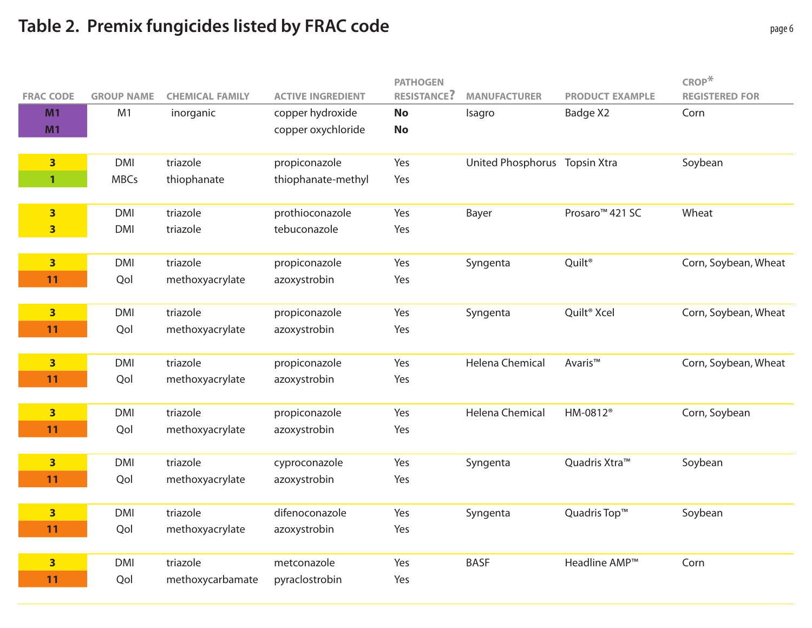## **Table 2. Premix fungicides listed by FRAC code**

|                         |                   |                        |                          | <b>PATHOGEN</b>    |                               |                             | $\mathsf{CROP}^*$     |
|-------------------------|-------------------|------------------------|--------------------------|--------------------|-------------------------------|-----------------------------|-----------------------|
| <b>FRAC CODE</b>        | <b>GROUP NAME</b> | <b>CHEMICAL FAMILY</b> | <b>ACTIVE INGREDIENT</b> | <b>RESISTANCE?</b> | <b>MANUFACTURER</b>           | <b>PRODUCT EXAMPLE</b>      | <b>REGISTERED FOR</b> |
| M1                      | M1                | inorganic              | copper hydroxide         | <b>No</b>          | Isagro                        | Badge X2                    | Corn                  |
| M1                      |                   |                        | copper oxychloride       | <b>No</b>          |                               |                             |                       |
|                         |                   |                        |                          |                    |                               |                             |                       |
| $\overline{\mathbf{3}}$ | <b>DMI</b>        | triazole               | propiconazole            | Yes                | United Phosphorus Topsin Xtra |                             | Soybean               |
| $\mathbf{1}$            | <b>MBCs</b>       | thiophanate            | thiophanate-methyl       | Yes                |                               |                             |                       |
|                         |                   |                        |                          |                    |                               |                             |                       |
| $\overline{\mathbf{3}}$ | <b>DMI</b>        | triazole               | prothioconazole          | Yes                | Bayer                         | Prosaro <sup>™</sup> 421 SC | Wheat                 |
| $\overline{\mathbf{3}}$ | <b>DMI</b>        | triazole               | tebuconazole             | Yes                |                               |                             |                       |
|                         |                   |                        |                          |                    |                               |                             |                       |
| $\overline{\mathbf{3}}$ | <b>DMI</b>        | triazole               | propiconazole            | Yes                | Syngenta                      | Quilt <sup>®</sup>          | Corn, Soybean, Wheat  |
| 11                      | Qol               | methoxyacrylate        | azoxystrobin             | Yes                |                               |                             |                       |
|                         |                   |                        |                          |                    |                               |                             |                       |
| $\overline{\mathbf{3}}$ | <b>DMI</b>        | triazole               | propiconazole            | Yes                | Syngenta                      | Quilt <sup>®</sup> Xcel     | Corn, Soybean, Wheat  |
| 11                      | Qol               | methoxyacrylate        | azoxystrobin             | Yes                |                               |                             |                       |
|                         |                   |                        |                          |                    |                               |                             |                       |
| $\overline{\mathbf{3}}$ | <b>DMI</b>        | triazole               | propiconazole            | Yes                | Helena Chemical               | Avaris™                     | Corn, Soybean, Wheat  |
| 11                      | Qol               | methoxyacrylate        | azoxystrobin             | Yes                |                               |                             |                       |
|                         |                   |                        |                          |                    |                               |                             |                       |
| $\overline{\mathbf{3}}$ | <b>DMI</b>        | triazole               | propiconazole            | Yes                | <b>Helena Chemical</b>        | HM-0812 <sup>®</sup>        | Corn, Soybean         |
| 11                      | Qol               | methoxyacrylate        | azoxystrobin             | Yes                |                               |                             |                       |
|                         |                   |                        |                          |                    |                               |                             |                       |
| $\overline{\mathbf{3}}$ | <b>DMI</b>        | triazole               | cyproconazole            | Yes                | Syngenta                      | Quadris Xtra™               | Soybean               |
| 11                      | Qol               | methoxyacrylate        | azoxystrobin             | Yes                |                               |                             |                       |
|                         |                   |                        |                          |                    |                               |                             |                       |
| $\overline{\mathbf{3}}$ | <b>DMI</b>        | triazole               | difenoconazole           | Yes                | Syngenta                      | Quadris Top™                | Soybean               |
| 11                      | Qol               | methoxyacrylate        | azoxystrobin             | Yes                |                               |                             |                       |
|                         |                   |                        |                          |                    |                               |                             |                       |
| $\overline{\mathbf{3}}$ | <b>DMI</b>        | triazole               | metconazole              | Yes                | <b>BASF</b>                   | Headline AMP <sup>™</sup>   | Corn                  |
| 11                      | Qol               | methoxycarbamate       | pyraclostrobin           | Yes                |                               |                             |                       |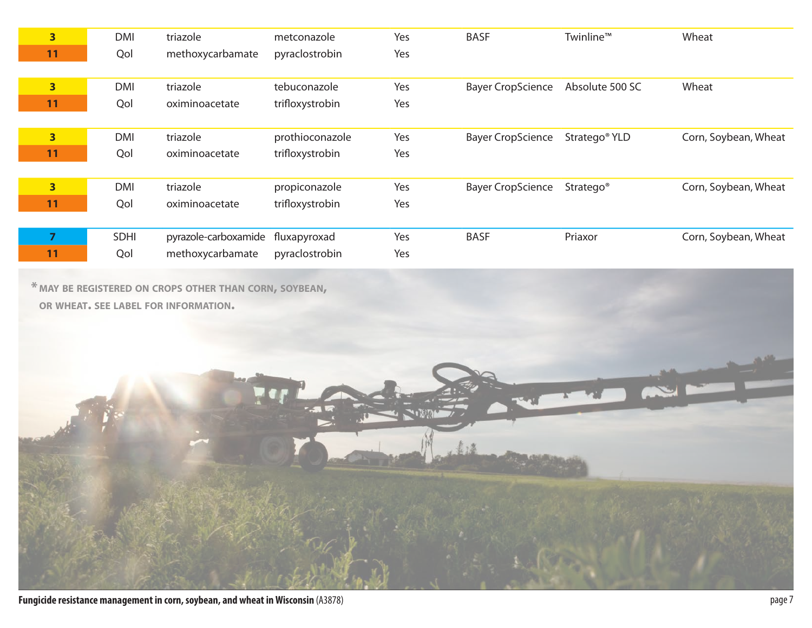| $\overline{\mathbf{3}}$ | <b>DMI</b> | triazole             | metconazole     | Yes | <b>BASF</b>              | Twinline™                 | Wheat                |
|-------------------------|------------|----------------------|-----------------|-----|--------------------------|---------------------------|----------------------|
| 11                      | Qol        | methoxycarbamate     | pyraclostrobin  | Yes |                          |                           |                      |
|                         |            |                      |                 |     |                          |                           |                      |
| $\overline{\mathbf{3}}$ | <b>DMI</b> | triazole             | tebuconazole    | Yes | <b>Bayer CropScience</b> | Absolute 500 SC           | Wheat                |
| 11                      | Qol        | oximinoacetate       | trifloxystrobin | Yes |                          |                           |                      |
|                         |            |                      |                 |     |                          |                           |                      |
| $\overline{\mathbf{3}}$ | <b>DMI</b> | triazole             | prothioconazole | Yes | <b>Bayer CropScience</b> | Stratego <sup>®</sup> YLD | Corn, Soybean, Wheat |
| 11                      | Qol        | oximinoacetate       | trifloxystrobin | Yes |                          |                           |                      |
|                         |            |                      |                 |     |                          |                           |                      |
| $\overline{\mathbf{3}}$ | <b>DMI</b> | triazole             | propiconazole   | Yes | <b>Bayer CropScience</b> | Stratego <sup>®</sup>     | Corn, Soybean, Wheat |
| 11                      | Qol        | oximinoacetate       | trifloxystrobin | Yes |                          |                           |                      |
|                         |            |                      |                 |     |                          |                           |                      |
| 7                       | SDHI       | pyrazole-carboxamide | fluxapyroxad    | Yes | <b>BASF</b>              | Priaxor                   | Corn, Soybean, Wheat |
| 11                      | Qol        | methoxycarbamate     | pyraclostrobin  | Yes |                          |                           |                      |

**\* MAY BE REGISTERED ON CROPS OTHER THAN CORN, SOYBEAN, OR WHEAT. SEE LABEL FOR INFORMATION.**